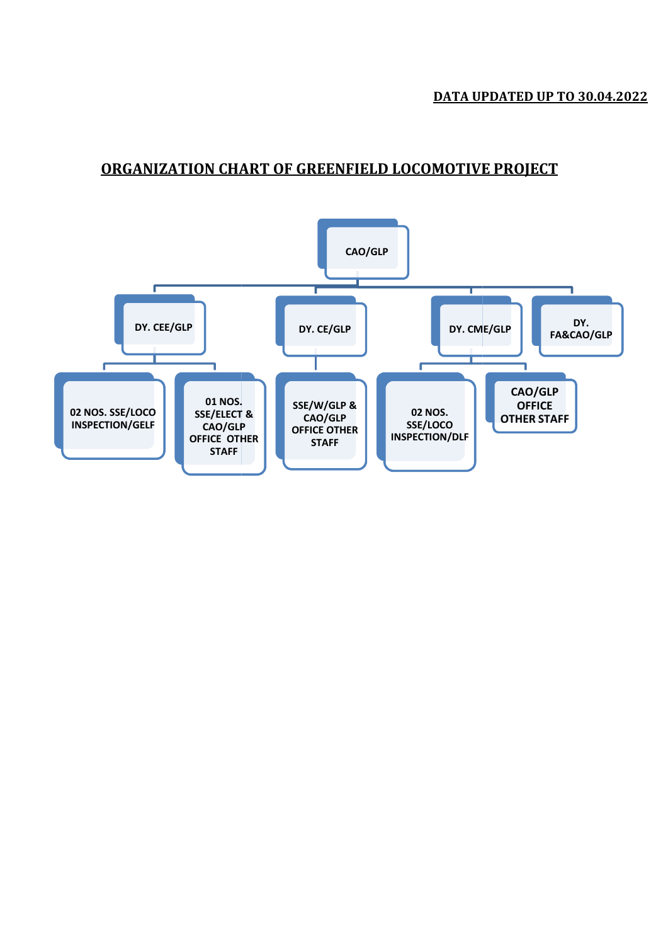#### ORGANIZATION CHART OF GREENFIELD LOCOMOTIVE PROJECT CHART OF GREENFIELD LOCOMOTIVE PROJECT

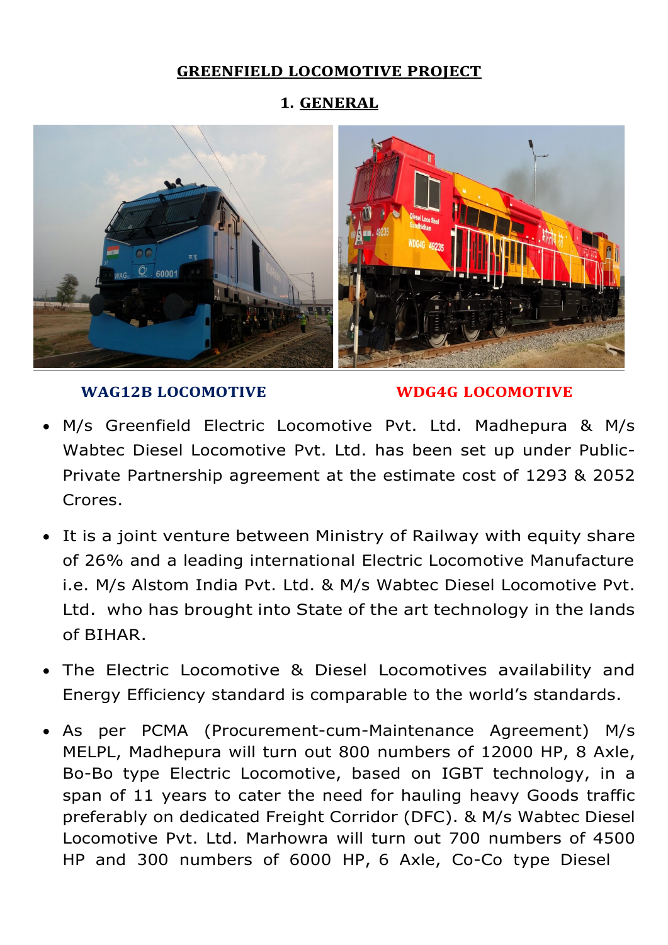### GREENFIELD LOCOMOTIVE PROJECT

1. GENERAL



### WAG12B LOCOMOTIVE WDG4G LOCOMOTIVE

- M/s Greenfield Electric Locomotive Pvt. Ltd. Madhepura & M/s Wabtec Diesel Locomotive Pvt. Ltd. has been set up under Public-Private Partnership agreement at the estimate cost of 1293 & 2052 Crores.
- It is a joint venture between Ministry of Railway with equity share of 26% and a leading international Electric Locomotive Manufacture i.e. M/s Alstom India Pvt. Ltd. & M/s Wabtec Diesel Locomotive Pvt. Ltd. who has brought into State of the art technology in the lands of BIHAR.
- The Electric Locomotive & Diesel Locomotives availability and Energy Efficiency standard is comparable to the world's standards.
- As per PCMA (Procurement-cum-Maintenance Agreement) M/s MELPL, Madhepura will turn out 800 numbers of 12000 HP, 8 Axle, Bo-Bo type Electric Locomotive, based on IGBT technology, in a span of 11 years to cater the need for hauling heavy Goods traffic preferably on dedicated Freight Corridor (DFC). & M/s Wabtec Diesel Locomotive Pvt. Ltd. Marhowra will turn out 700 numbers of 4500 HP and 300 numbers of 6000 HP, 6 Axle, Co-Co type Diesel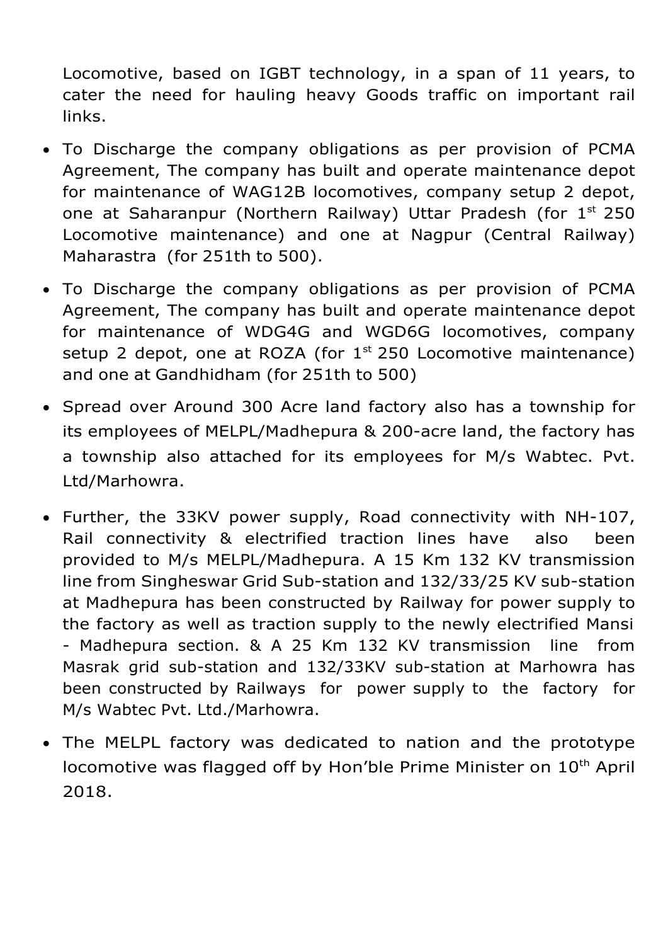Locomotive, based on IGBT technology, in a span of 11 years, to cater the need for hauling heavy Goods traffic on important rail links.

- To Discharge the company obligations as per provision of PCMA Agreement, The company has built and operate maintenance depot for maintenance of WAG12B locomotives, company setup 2 depot, one at Saharanpur (Northern Railway) Uttar Pradesh (for 1<sup>st</sup> 250 Locomotive maintenance) and one at Nagpur (Central Railway) Maharastra (for 251th to 500).
- To Discharge the company obligations as per provision of PCMA Agreement, The company has built and operate maintenance depot for maintenance of WDG4G and WGD6G locomotives, company setup 2 depot, one at ROZA (for  $1^{st}$  250 Locomotive maintenance) and one at Gandhidham (for 251th to 500)
- Spread over Around 300 Acre land factory also has a township for its employees of MELPL/Madhepura & 200-acre land, the factory has a township also attached for its employees for M/s Wabtec. Pvt. Ltd/Marhowra.
- Further, the 33KV power supply, Road connectivity with NH-107, Rail connectivity & electrified traction lines have also been provided to M/s MELPL/Madhepura. A 15 Km 132 KV transmission line from Singheswar Grid Sub-station and 132/33/25 KV sub-station at Madhepura has been constructed by Railway for power supply to the factory as well as traction supply to the newly electrified Mansi - Madhepura section. & A 25 Km 132 KV transmission line from Masrak grid sub-station and 132/33KV sub-station at Marhowra has been constructed by Railways for power supply to the factory for M/s Wabtec Pvt. Ltd./Marhowra.
- The MELPL factory was dedicated to nation and the prototype locomotive was flagged off by Hon'ble Prime Minister on 10<sup>th</sup> April 2018.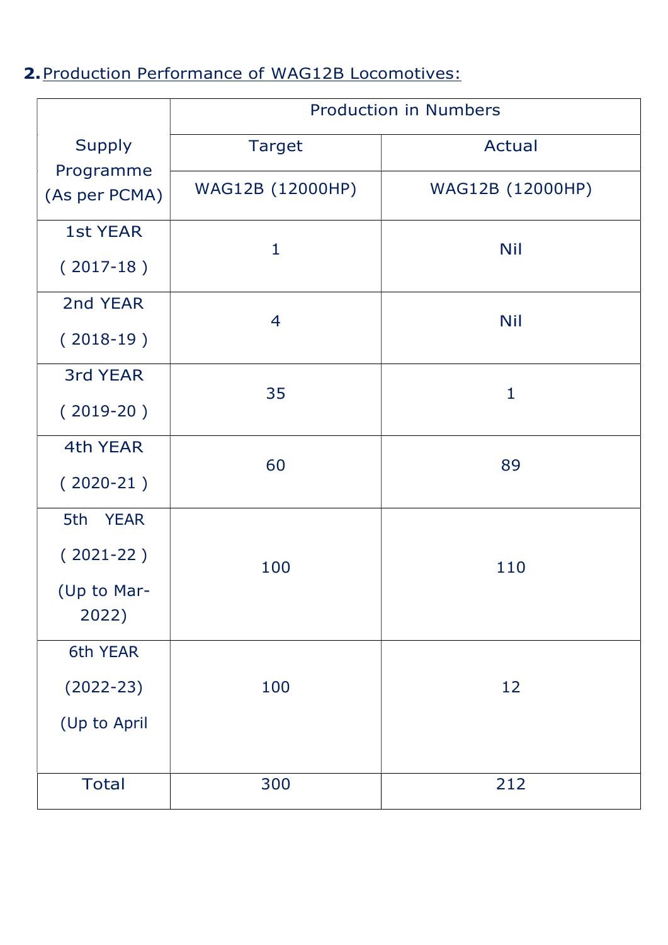# 2. Production Performance of WAG12B Locomotives:

|                                                           | <b>Production in Numbers</b> |                  |  |  |
|-----------------------------------------------------------|------------------------------|------------------|--|--|
| <b>Supply</b>                                             | <b>Target</b>                | Actual           |  |  |
| Programme<br>(As per PCMA)                                | WAG12B (12000HP)             | WAG12B (12000HP) |  |  |
| <b>1st YEAR</b><br>$(2017-18)$                            | $\mathbf 1$                  | <b>Nil</b>       |  |  |
| 2nd YEAR                                                  | 4                            | <b>Nil</b>       |  |  |
| $(2018-19)$<br>3rd YEAR                                   |                              |                  |  |  |
| $(2019-20)$                                               | 35                           | $\mathbf{1}$     |  |  |
| 4th YEAR<br>$(2020-21)$                                   | 60                           | 89               |  |  |
| 5th<br><b>YEAR</b><br>$(2021-22)$<br>(Up to Mar-<br>2022) | 100                          | 110              |  |  |
| 6th YEAR<br>$(2022 - 23)$<br>(Up to April                 | 100                          | 12               |  |  |
| <b>Total</b>                                              | 300                          | 212              |  |  |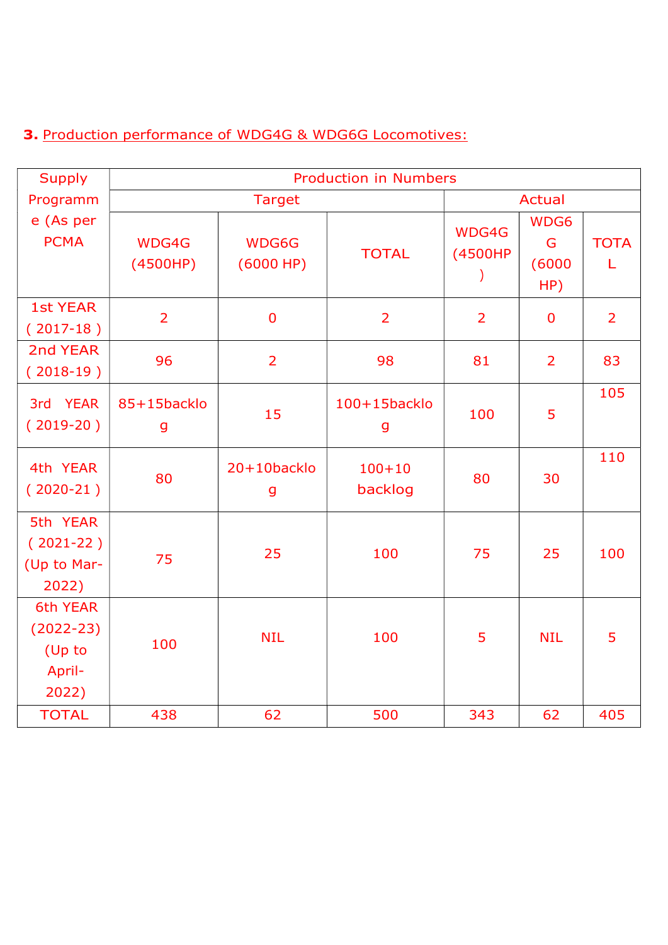### 3. Production performance of WDG4G & WDG6G Locomotives:

| <b>Supply</b>                                          | <b>Production in Numbers</b> |                            |                       |                  |                            |                  |
|--------------------------------------------------------|------------------------------|----------------------------|-----------------------|------------------|----------------------------|------------------|
| Programm                                               | <b>Target</b>                |                            |                       | Actual           |                            |                  |
| e (As per<br><b>PCMA</b>                               | WDG4G<br>(4500HP)            | WDG6G<br>(6000 HP)         | <b>TOTAL</b>          | WDG4G<br>(4500HP | WDG6<br>G<br>(6000)<br>HP) | <b>TOTA</b><br>L |
| <b>1st YEAR</b><br>$(2017-18)$                         | $\overline{2}$               | $\overline{0}$             | $\overline{2}$        | $\overline{2}$   | $\mathbf 0$                | $\overline{2}$   |
| 2nd YEAR<br>$(2018-19)$                                | 96                           | $\overline{2}$             | 98                    | 81               | $\overline{2}$             | 83               |
| 3rd YEAR<br>$(2019-20)$                                | 85+15backlo<br>g             | 15                         | 100+15backlo<br>g     | 100              | 5                          | 105              |
| 4th YEAR<br>$(2020-21)$                                | 80                           | 20+10backlo<br>$\mathbf g$ | $100 + 10$<br>backlog | 80               | 30                         | 110              |
| 5th YEAR<br>$(2021-22)$<br>(Up to Mar-<br>2022)        | 75                           | 25                         | 100                   | 75               | 25                         | 100              |
| 6th YEAR<br>$(2022 - 23)$<br>(Up to<br>April-<br>2022) | 100                          | <b>NIL</b>                 | 100                   | 5                | <b>NIL</b>                 | 5                |
| <b>TOTAL</b>                                           | 438                          | 62                         | 500                   | 343              | 62                         | 405              |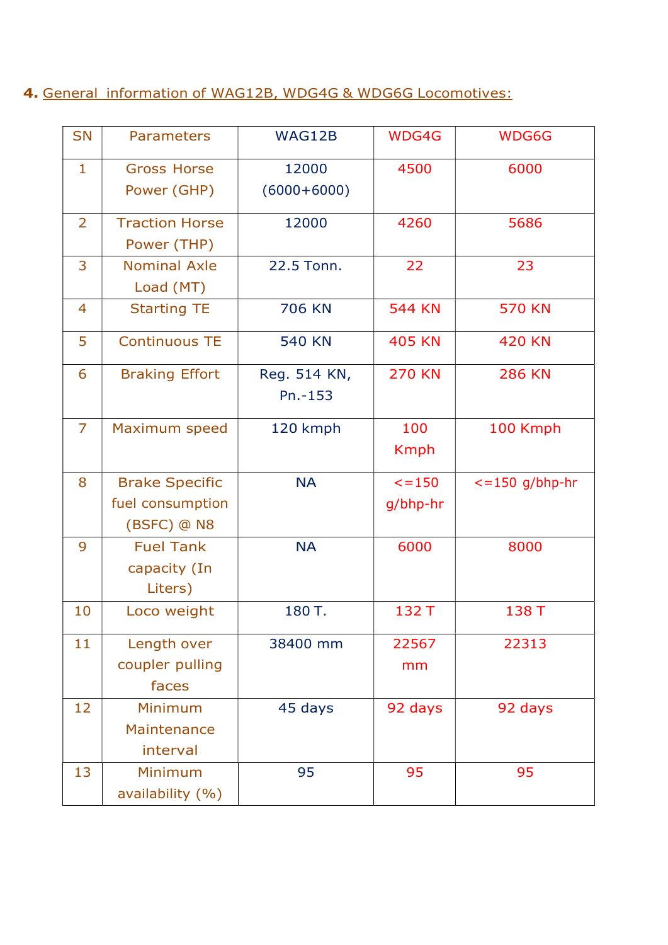### 4. General information of WAG12B, WDG4G & WDG6G Locomotives:

| <b>SN</b>      | <b>Parameters</b>                                        | WAG12B                    | WDG4G                   | WDG6G                    |
|----------------|----------------------------------------------------------|---------------------------|-------------------------|--------------------------|
| $\mathbf{1}$   | <b>Gross Horse</b><br>Power (GHP)                        | 12000<br>$(6000+6000)$    | 4500                    | 6000                     |
| $\overline{2}$ | <b>Traction Horse</b><br>Power (THP)                     | 12000                     | 4260                    | 5686                     |
| 3              | <b>Nominal Axle</b><br>Load (MT)                         | 22.5 Tonn.                | 22                      | 23                       |
| 4              | <b>Starting TE</b>                                       | <b>706 KN</b>             | <b>544 KN</b>           | <b>570 KN</b>            |
| 5              | <b>Continuous TE</b>                                     | <b>540 KN</b>             | <b>405 KN</b>           | <b>420 KN</b>            |
| 6              | <b>Braking Effort</b>                                    | Reg. 514 KN,<br>$Pn.-153$ | <b>270 KN</b>           | <b>286 KN</b>            |
| $\overline{7}$ | Maximum speed                                            | 120 kmph                  | 100<br><b>Kmph</b>      | 100 Kmph                 |
| 8              | <b>Brake Specific</b><br>fuel consumption<br>(BSFC) @ N8 | <b>NA</b>                 | $\le$ = 150<br>g/bhp-hr | $\epsilon$ =150 g/bhp-hr |
| 9              | <b>Fuel Tank</b><br>capacity (In<br>Liters)              | <b>NA</b>                 | 6000                    | 8000                     |
| 10             | Loco weight                                              | 180 T.                    | 132 T                   | 138 T                    |
| 11             | Length over<br>coupler pulling<br>faces                  | 38400 mm                  | 22567<br>mm             | 22313                    |
| 12             | Minimum<br>Maintenance<br>interval                       | 45 days                   | 92 days                 | 92 days                  |
| 13             | Minimum<br>availability (%)                              | 95                        | 95                      | 95                       |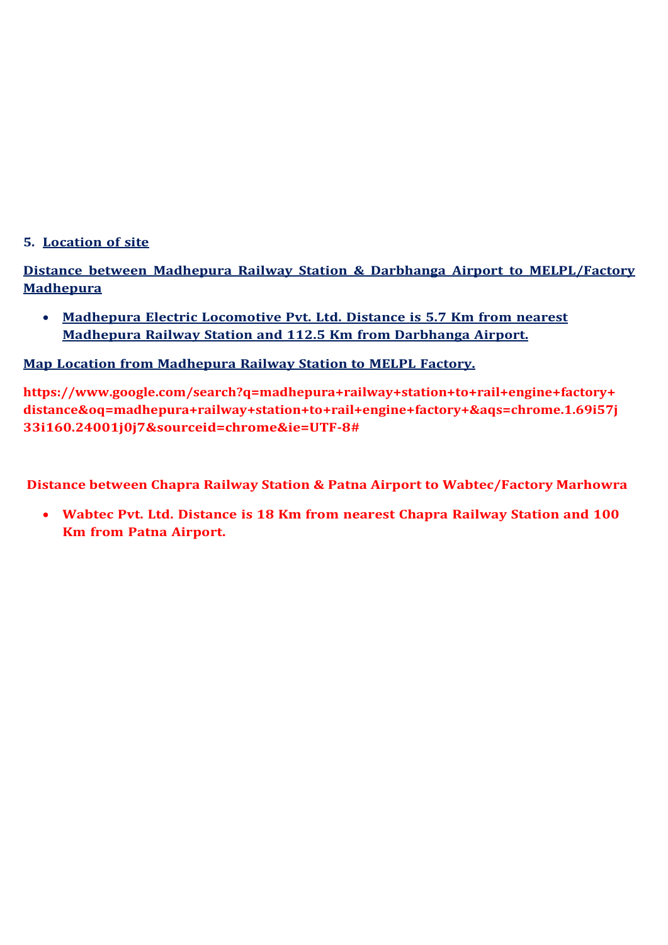#### 5. Location of site

Distance between Madhepura Railway Station & Darbhanga Airport to MELPL/Factory **Madhepura** 

 Madhepura Electric Locomotive Pvt. Ltd. Distance is 5.7 Km from nearest Madhepura Railway Station and 112.5 Km from Darbhanga Airport.

Map Location from Madhepura Railway Station to MELPL Factory.

https://www.google.com/search?q=madhepura+railway+station+to+rail+engine+factory+ distance&oq=madhepura+railway+station+to+rail+engine+factory+&aqs=chrome.1.69i57j 33i160.24001j0j7&sourceid=chrome&ie=UTF-8#

Distance between Chapra Railway Station & Patna Airport to Wabtec/Factory Marhowra

 Wabtec Pvt. Ltd. Distance is 18 Km from nearest Chapra Railway Station and 100 Km from Patna Airport.